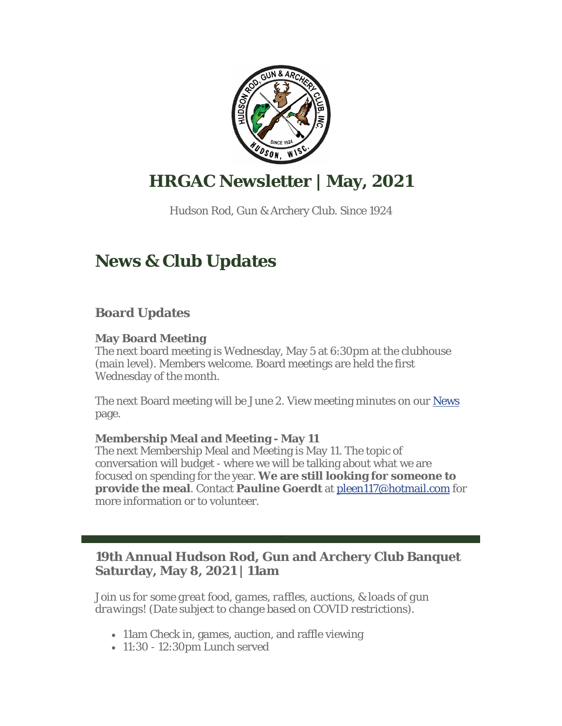

# **HRGAC Newsletter | May, 2021**

Hudson Rod, Gun & Archery Club. Since 1924

# **News & Club Updates**

## **Board Updates**

#### **May Board Meeting**

The next board meeting is Wednesday, May 5 at 6:30pm at the clubhouse (main level). Members welcome. Board meetings are held the first Wednesday of the month.

The next Board meeting will be June 2. View meeting minutes on our News page.

#### **Membership Meal and Meeting - May 11**

The next Membership Meal and Meeting is May 11. The topic of conversation will budget - where we will be talking about what we are focused on spending for the year. **We are still looking for someone to provide the meal**. Contact **Pauline Goerdt** at pleen117@hotmail.com for more information or to volunteer.

## **19th Annual Hudson Rod, Gun and Archery Club Banquet Saturday, May 8, 2021 | 11am**

*Join us for some great food, games, raffles, auctions, & loads of gun drawings! (Date subject to change based on COVID restrictions).*

- 11am Check in, games, auction, and raffle viewing
- 11:30 12:30pm Lunch served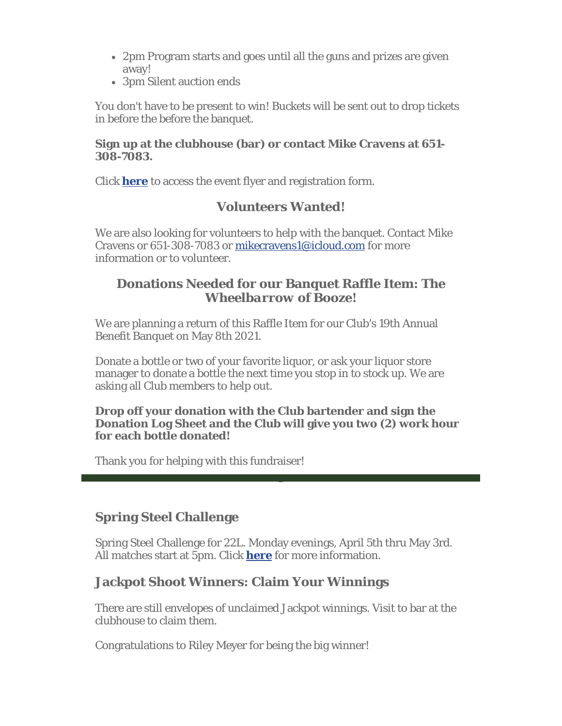- 2pm Program starts and goes until all the guns and prizes are given away!
- 3pm Silent auction ends

You don't have to be present to win! Buckets will be sent out to drop tickets in before the before the banquet.

#### **Sign up at the clubhouse (bar) or contact Mike Cravens at 651- 308-7083.**

Click **here** to access the event flyer and registration form.

### **Volunteers Wanted!**

We are also looking for volunteers to help with the banquet. Contact Mike Cravens or 651-308-7083 or mikecravens1@icloud.com for more information or to volunteer.

### **Donations Needed for our Banquet Raffle Item:** *The Wheelbarrow of Booze!*

We are planning a return of this Raffle Item for our Club's 19th Annual Benefit Banquet on May 8th 2021.

Donate a bottle or two of your favorite liquor, or ask your liquor store manager to donate a bottle the next time you stop in to stock up. We are asking all Club members to help out.

#### **Drop off your donation with the Club bartender and sign the Donation Log Sheet and the Club will give you two (2) work hour for each bottle donated!**

Thank you for helping with this fundraiser!

### **Spring Steel Challenge**

Spring Steel Challenge for 22L. Monday evenings, April 5th thru May 3rd. All matches start at 5pm. Click **here** for more information.

### **Jackpot Shoot Winners: Claim Your Winnings**

There are still envelopes of unclaimed Jackpot winnings. Visit to bar at the clubhouse to claim them.

Congratulations to Riley Meyer for being the big winner!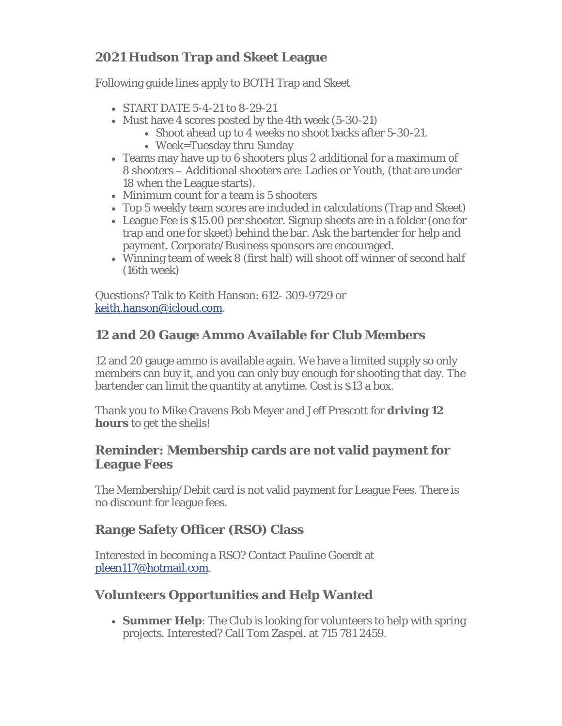# **2021 Hudson Trap and Skeet League**

Following guide lines apply to BOTH Trap and Skeet

- START DATE 5-4-21 to 8-29-21
- Must have 4 scores posted by the 4th week (5-30-21)
	- Shoot ahead up to 4 weeks no shoot backs after 5-30-21.
	- Week=Tuesday thru Sunday
- Teams may have up to 6 shooters plus 2 additional for a maximum of 8 shooters – Additional shooters are: Ladies or Youth, (that are under 18 when the League starts).
- Minimum count for a team is 5 shooters
- Top 5 weekly team scores are included in calculations (Trap and Skeet)
- League Fee is \$15.00 per shooter. Signup sheets are in a folder (one for trap and one for skeet) behind the bar. Ask the bartender for help and payment. Corporate/Business sponsors are encouraged.
- Winning team of week 8 (first half) will shoot off winner of second half (16th week)

Questions? Talk to Keith Hanson: 612- 309-9729 or keith.hanson@icloud.com.

## **12 and 20 Gauge Ammo Available for Club Members**

12 and 20 gauge ammo is available again. We have a limited supply so only members can buy it, and you can only buy enough for shooting that day. The bartender can limit the quantity at anytime. Cost is \$13 a box.

Thank you to Mike Cravens Bob Meyer and Jeff Prescott for **driving 12 hours** to get the shells!

### **Reminder: Membership cards are not valid payment for League Fees**

The Membership/Debit card is not valid payment for League Fees. There is no discount for league fees.

## **Range Safety Officer (RSO) Class**

Interested in becoming a RSO? Contact Pauline Goerdt at pleen117@hotmail.com.

## **Volunteers Opportunities and Help Wanted**

 **Summer Help**: The Club is looking for volunteers to help with spring projects. Interested? Call Tom Zaspel. at 715 781 2459.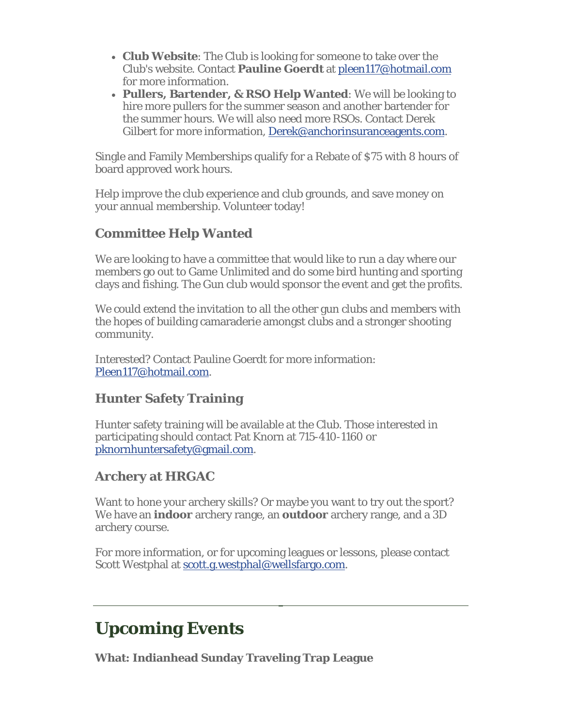- **Club Website**: The Club is looking for someone to take over the Club's website. Contact **Pauline Goerdt** at pleen117@hotmail.com for more information.
- **Pullers, Bartender, & RSO Help Wanted**: We will be looking to hire more pullers for the summer season and another bartender for the summer hours. We will also need more RSOs. Contact Derek Gilbert for more information, Derek@anchorinsuranceagents.com.

Single and Family Memberships qualify for a Rebate of \$75 with 8 hours of board approved work hours.

Help improve the club experience and club grounds, and save money on your annual membership. Volunteer today!

## **Committee Help Wanted**

We are looking to have a committee that would like to run a day where our members go out to Game Unlimited and do some bird hunting and sporting clays and fishing. The Gun club would sponsor the event and get the profits.

We could extend the invitation to all the other gun clubs and members with the hopes of building camaraderie amongst clubs and a stronger shooting community.

Interested? Contact Pauline Goerdt for more information: Pleen117@hotmail.com.

## **Hunter Safety Training**

Hunter safety training will be available at the Club. Those interested in participating should contact Pat Knorn at 715-410-1160 or pknornhuntersafety@gmail.com.

## **Archery at HRGAC**

Want to hone your archery skills? Or maybe you want to try out the sport? We have an **indoor** archery range, an **outdoor** archery range, and a 3D archery course.

For more information, or for upcoming leagues or lessons, please contact Scott Westphal at scott.g.westphal@wellsfargo.com.

# **Upcoming Events**

**What: Indianhead Sunday Traveling Trap League**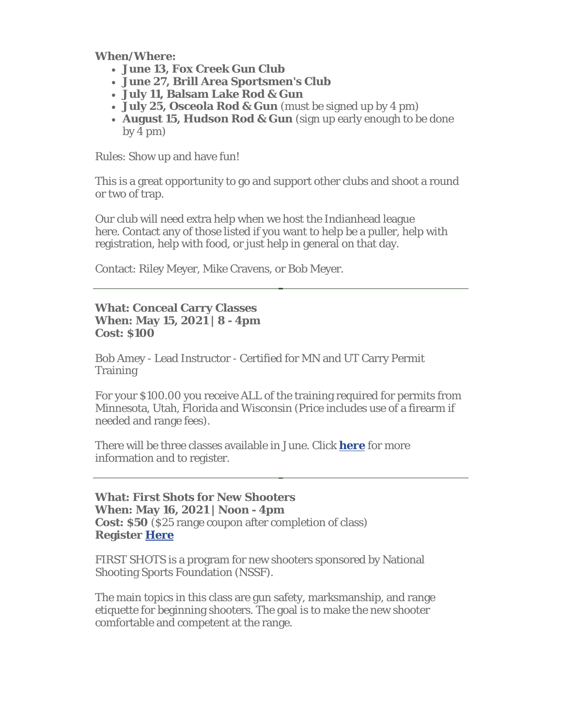**When/Where:** 

- **June 13, Fox Creek Gun Club**
- **June 27, Brill Area Sportsmen's Club**
- **July 11, Balsam Lake Rod & Gun**
- **July 25, Osceola Rod & Gun** (must be signed up by 4 pm)
- **August 15, Hudson Rod & Gun** (sign up early enough to be done by 4 pm)

Rules: Show up and have fun!

This is a great opportunity to go and support other clubs and shoot a round or two of trap.

Our club will need extra help when we host the Indianhead league here. Contact any of those listed if you want to help be a puller, help with registration, help with food, or just help in general on that day.

Contact: Riley Meyer, Mike Cravens, or Bob Meyer.

#### **What: Conceal Carry Classes When: May 15, 2021 | 8 - 4pm Cost: \$100**

Bob Amey - Lead Instructor - Certified for MN and UT Carry Permit **Training** 

For your \$100.00 you receive ALL of the training required for permits from Minnesota, Utah, Florida and Wisconsin (Price includes use of a firearm if needed and range fees).

There will be three classes available in June. Click **here** for more information and to register.

#### **What: First Shots for New Shooters When: May 16, 2021 | Noon - 4pm Cost: \$50** (\$25 range coupon after completion of class) **Register Here**

FIRST SHOTS is a program for new shooters sponsored by National Shooting Sports Foundation (NSSF).

The main topics in this class are gun safety, marksmanship, and range etiquette for beginning shooters. The goal is to make the new shooter comfortable and competent at the range.